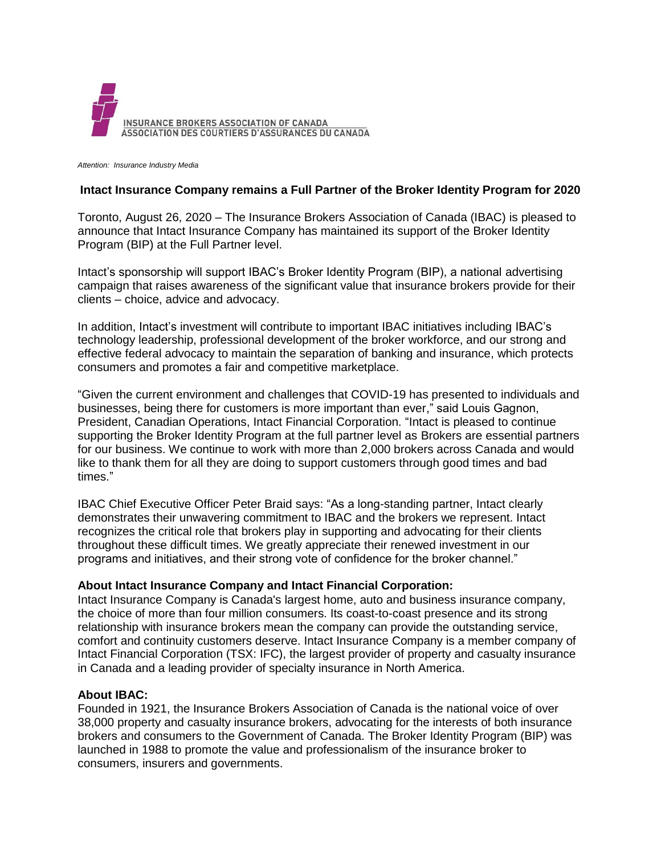

*Attention: Insurance Industry Media*

## **Intact Insurance Company remains a Full Partner of the Broker Identity Program for 2020**

Toronto, August 26, 2020 – The Insurance Brokers Association of Canada (IBAC) is pleased to announce that Intact Insurance Company has maintained its support of the Broker Identity Program (BIP) at the Full Partner level.

Intact's sponsorship will support IBAC's Broker Identity Program (BIP), a national advertising campaign that raises awareness of the significant value that insurance brokers provide for their clients – choice, advice and advocacy.

In addition, Intact's investment will contribute to important IBAC initiatives including IBAC's technology leadership, professional development of the broker workforce, and our strong and effective federal advocacy to maintain the separation of banking and insurance, which protects consumers and promotes a fair and competitive marketplace.

"Given the current environment and challenges that COVID-19 has presented to individuals and businesses, being there for customers is more important than ever," said Louis Gagnon, President, Canadian Operations, Intact Financial Corporation. "Intact is pleased to continue supporting the Broker Identity Program at the full partner level as Brokers are essential partners for our business. We continue to work with more than 2,000 brokers across Canada and would like to thank them for all they are doing to support customers through good times and bad times."

IBAC Chief Executive Officer Peter Braid says: "As a long-standing partner, Intact clearly demonstrates their unwavering commitment to IBAC and the brokers we represent. Intact recognizes the critical role that brokers play in supporting and advocating for their clients throughout these difficult times. We greatly appreciate their renewed investment in our programs and initiatives, and their strong vote of confidence for the broker channel."

## **About Intact Insurance Company and Intact Financial Corporation:**

Intact Insurance Company is Canada's largest home, auto and business insurance company, the choice of more than four million consumers. Its coast-to-coast presence and its strong relationship with insurance brokers mean the company can provide the outstanding service, comfort and continuity customers deserve. Intact Insurance Company is a member company of Intact Financial Corporation (TSX: IFC), the largest provider of property and casualty insurance in Canada and a leading provider of specialty insurance in North America.

## **About IBAC:**

Founded in 1921, the Insurance Brokers Association of Canada is the national voice of over 38,000 property and casualty insurance brokers, advocating for the interests of both insurance brokers and consumers to the Government of Canada. The Broker Identity Program (BIP) was launched in 1988 to promote the value and professionalism of the insurance broker to consumers, insurers and governments.